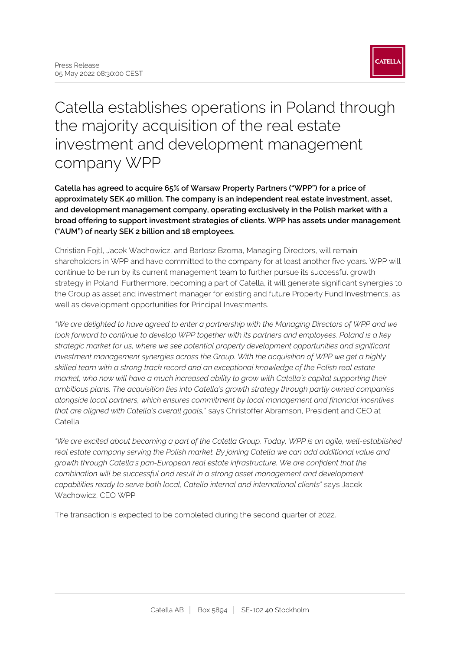## Catella establishes operations in Poland through the majority acquisition of the real estate investment and development management company WPP

**Catella has agreed to acquire 65% of Warsaw Property Partners ("WPP") for a price of approximately SEK 40 million. The company is an independent real estate investment, asset, and development management company, operating exclusively in the Polish market with a broad offering to support investment strategies of clients. WPP has assets under management ("AUM") of nearly SEK 2 billion and 18 employees.**

Christian Fojtl, Jacek Wachowicz, and Bartosz Bzoma, Managing Directors, will remain shareholders in WPP and have committed to the company for at least another five years. WPP will continue to be run by its current management team to further pursue its successful growth strategy in Poland. Furthermore, becoming a part of Catella, it will generate significant synergies to the Group as asset and investment manager for existing and future Property Fund Investments, as well as development opportunities for Principal Investments.

*"We are delighted to have agreed to enter a partnership with the Managing Directors of WPP and we look forward to continue to develop WPP together with its partners and employees. Poland is a key strategic market for us, where we see potential property development opportunities and significant investment management synergies across the Group. With the acquisition of WPP we get a highly skilled team with a strong track record and an exceptional knowledge of the Polish real estate market, who now will have a much increased ability to grow with Catella's capital supporting their ambitious plans. The acquisition ties into Catella's growth strategy through partly owned companies alongside local partners, which ensures commitment by local management and financial incentives that are aligned with Catella's overall goals,*" says Christoffer Abramson, President and CEO at Catella.

*"We are excited about becoming a part of the Catella Group. Today, WPP is an agile, well-established real estate company serving the Polish market. By joining Catella we can add additional value and growth through Catella's pan-European real estate infrastructure. We are confident that the combination will be successful and result in a strong asset management and development capabilities ready to serve both local, Catella internal and international clients"* says Jacek Wachowicz, CEO WPP

The transaction is expected to be completed during the second quarter of 2022.